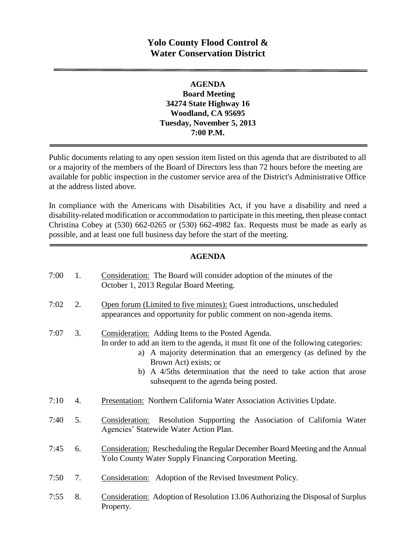# **Yolo County Flood Control & Water Conservation District**

### **AGENDA Board Meeting 34274 State Highway 16 Woodland, CA 95695 Tuesday, November 5, 2013 7:00 P.M.**

Public documents relating to any open session item listed on this agenda that are distributed to all or a majority of the members of the Board of Directors less than 72 hours before the meeting are available for public inspection in the customer service area of the District's Administrative Office at the address listed above*.* 

In compliance with the Americans with Disabilities Act, if you have a disability and need a disability-related modification or accommodation to participate in this meeting, then please contact Christina Cobey at (530) 662-0265 or (530) 662-4982 fax. Requests must be made as early as possible, and at least one full business day before the start of the meeting.

### **AGENDA**

| 7:00 | 1. | Consideration: The Board will consider adoption of the minutes of the<br>October 1, 2013 Regular Board Meeting.                                                                                                                                                                                                                                      |
|------|----|------------------------------------------------------------------------------------------------------------------------------------------------------------------------------------------------------------------------------------------------------------------------------------------------------------------------------------------------------|
| 7:02 | 2. | Open forum (Limited to five minutes): Guest introductions, unscheduled<br>appearances and opportunity for public comment on non-agenda items.                                                                                                                                                                                                        |
| 7:07 | 3. | Consideration: Adding Items to the Posted Agenda.<br>In order to add an item to the agenda, it must fit one of the following categories:<br>a) A majority determination that an emergency (as defined by the<br>Brown Act) exists; or<br>b) A 4/5ths determination that the need to take action that arose<br>subsequent to the agenda being posted. |
| 7:10 | 4. | Presentation: Northern California Water Association Activities Update.                                                                                                                                                                                                                                                                               |
| 7:40 | 5. | Resolution Supporting the Association of California Water<br>Consideration:<br>Agencies' Statewide Water Action Plan.                                                                                                                                                                                                                                |
| 7:45 | 6. | <b>Consideration:</b> Rescheduling the Regular December Board Meeting and the Annual<br>Yolo County Water Supply Financing Corporation Meeting.                                                                                                                                                                                                      |
| 7:50 | 7. | Consideration: Adoption of the Revised Investment Policy.                                                                                                                                                                                                                                                                                            |
| 7:55 | 8. | Consideration: Adoption of Resolution 13.06 Authorizing the Disposal of Surplus<br>Property.                                                                                                                                                                                                                                                         |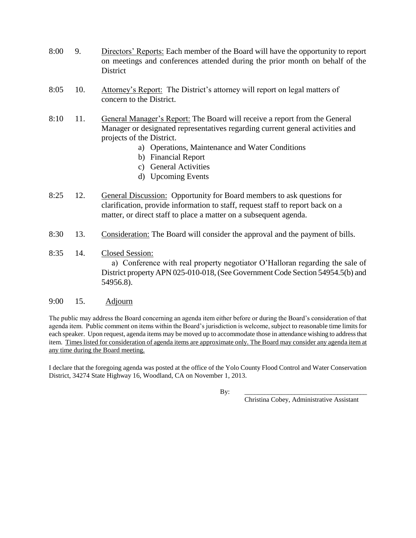- 8:00 9. Directors' Reports: Each member of the Board will have the opportunity to report on meetings and conferences attended during the prior month on behalf of the District
- 8:05 10. Attorney's Report: The District's attorney will report on legal matters of concern to the District.
- 8:10 11. General Manager's Report: The Board will receive a report from the General Manager or designated representatives regarding current general activities and projects of the District.
	- a) Operations, Maintenance and Water Conditions
	- b) Financial Report
	- c) General Activities
	- d) Upcoming Events
- 8:25 12. General Discussion: Opportunity for Board members to ask questions for clarification, provide information to staff, request staff to report back on a matter, or direct staff to place a matter on a subsequent agenda.
- 8:30 13. Consideration: The Board will consider the approval and the payment of bills.
- 8:35 14. Closed Session:

 a) Conference with real property negotiator O'Halloran regarding the sale of District property APN 025-010-018, (See Government Code Section 54954.5(b) and 54956.8).

#### 9:00 15. Adjourn

The public may address the Board concerning an agenda item either before or during the Board's consideration of that agenda item. Public comment on items within the Board's jurisdiction is welcome, subject to reasonable time limits for each speaker. Upon request, agenda items may be moved up to accommodate those in attendance wishing to address that item. Times listed for consideration of agenda items are approximate only. The Board may consider any agenda item at any time during the Board meeting.

I declare that the foregoing agenda was posted at the office of the Yolo County Flood Control and Water Conservation District, 34274 State Highway 16, Woodland, CA on November 1, 2013.

By: \_\_\_\_\_\_\_\_\_\_\_\_\_\_\_\_\_\_\_\_\_\_\_\_\_\_\_\_\_\_\_\_\_\_\_\_\_

Christina Cobey, Administrative Assistant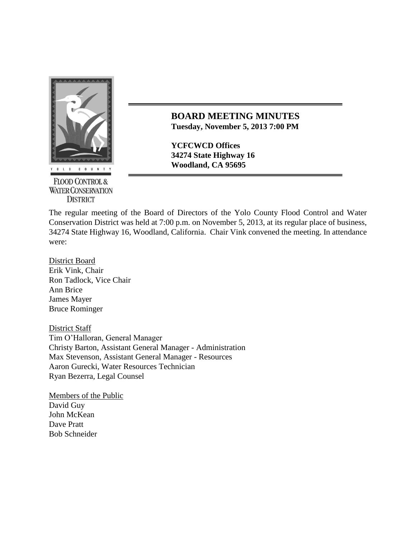

**FLOOD CONTROL & WATER CONSERVATION DISTRICT** 

**BOARD MEETING MINUTES Tuesday, November 5, 2013 7:00 PM**

**YCFCWCD Offices 34274 State Highway 16 Woodland, CA 95695** 

The regular meeting of the Board of Directors of the Yolo County Flood Control and Water Conservation District was held at 7:00 p.m. on November 5, 2013, at its regular place of business, 34274 State Highway 16, Woodland, California. Chair Vink convened the meeting. In attendance were:

District Board Erik Vink, Chair Ron Tadlock, Vice Chair Ann Brice James Mayer Bruce Rominger

District Staff Tim O'Halloran, General Manager Christy Barton, Assistant General Manager - Administration Max Stevenson, Assistant General Manager - Resources Aaron Gurecki, Water Resources Technician Ryan Bezerra, Legal Counsel

Members of the Public David Guy John McKean Dave Pratt Bob Schneider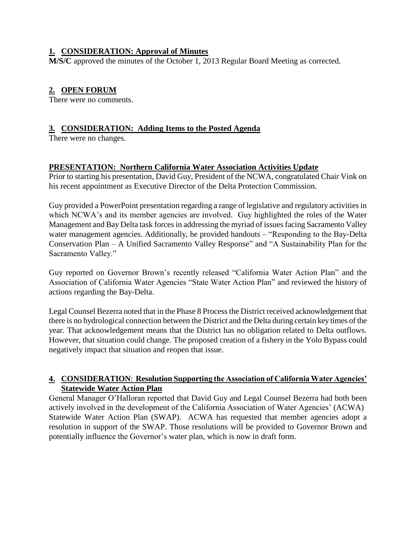### **1. CONSIDERATION: Approval of Minutes**

**M/S/C** approved the minutes of the October 1, 2013 Regular Board Meeting as corrected.

# **2. OPEN FORUM**

There were no comments.

# **3. CONSIDERATION: Adding Items to the Posted Agenda**

There were no changes.

# **PRESENTATION: Northern California Water Association Activities Update**

Prior to starting his presentation, David Guy, President of the NCWA, congratulated Chair Vink on his recent appointment as Executive Director of the Delta Protection Commission.

Guy provided a PowerPoint presentation regarding a range of legislative and regulatory activities in which NCWA's and its member agencies are involved. Guy highlighted the roles of the Water Management and Bay Delta task forces in addressing the myriad of issues facing Sacramento Valley water management agencies. Additionally, he provided handouts – "Responding to the Bay-Delta" Conservation Plan – A Unified Sacramento Valley Response" and "A Sustainability Plan for the Sacramento Valley."

Guy reported on Governor Brown's recently released "California Water Action Plan" and the Association of California Water Agencies "State Water Action Plan" and reviewed the history of actions regarding the Bay-Delta.

Legal Counsel Bezerra noted that in the Phase 8 Process the District received acknowledgement that there is no hydrological connection between the District and the Delta during certain key times of the year. That acknowledgement means that the District has no obligation related to Delta outflows. However, that situation could change. The proposed creation of a fishery in the Yolo Bypass could negatively impact that situation and reopen that issue.

# **4. CONSIDERATION**: **Resolution Supporting the Association of California Water Agencies' Statewide Water Action Plan**

General Manager O'Halloran reported that David Guy and Legal Counsel Bezerra had both been actively involved in the development of the California Association of Water Agencies' (ACWA) Statewide Water Action Plan (SWAP). ACWA has requested that member agencies adopt a resolution in support of the SWAP. Those resolutions will be provided to Governor Brown and potentially influence the Governor's water plan, which is now in draft form.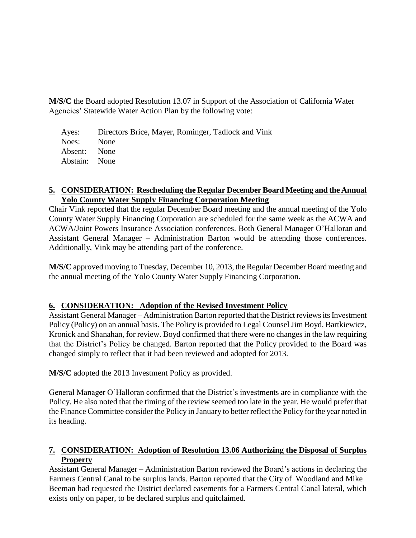**M/S/C** the Board adopted Resolution 13.07 in Support of the Association of California Water Agencies' Statewide Water Action Plan by the following vote:

Ayes: Directors Brice, Mayer, Rominger, Tadlock and Vink Noes: None Absent: None Abstain: None

#### **5. CONSIDERATION: Rescheduling the Regular December Board Meeting and the Annual Yolo County Water Supply Financing Corporation Meeting**

Chair Vink reported that the regular December Board meeting and the annual meeting of the Yolo County Water Supply Financing Corporation are scheduled for the same week as the ACWA and ACWA/Joint Powers Insurance Association conferences. Both General Manager O'Halloran and Assistant General Manager – Administration Barton would be attending those conferences. Additionally, Vink may be attending part of the conference.

**M/S/C** approved moving to Tuesday, December 10, 2013, the Regular December Board meeting and the annual meeting of the Yolo County Water Supply Financing Corporation.

### **6. CONSIDERATION: Adoption of the Revised Investment Policy**

Assistant General Manager – Administration Barton reported that the District reviews its Investment Policy (Policy) on an annual basis. The Policy is provided to Legal Counsel Jim Boyd, Bartkiewicz, Kronick and Shanahan, for review. Boyd confirmed that there were no changes in the law requiring that the District's Policy be changed. Barton reported that the Policy provided to the Board was changed simply to reflect that it had been reviewed and adopted for 2013.

**M/S/C** adopted the 2013 Investment Policy as provided.

General Manager O'Halloran confirmed that the District's investments are in compliance with the Policy. He also noted that the timing of the review seemed too late in the year. He would prefer that the Finance Committee consider the Policy in January to better reflect the Policy for the year noted in its heading.

# **7. CONSIDERATION: Adoption of Resolution 13.06 Authorizing the Disposal of Surplus Property**

Assistant General Manager – Administration Barton reviewed the Board's actions in declaring the Farmers Central Canal to be surplus lands. Barton reported that the City of Woodland and Mike Beeman had requested the District declared easements for a Farmers Central Canal lateral, which exists only on paper, to be declared surplus and quitclaimed.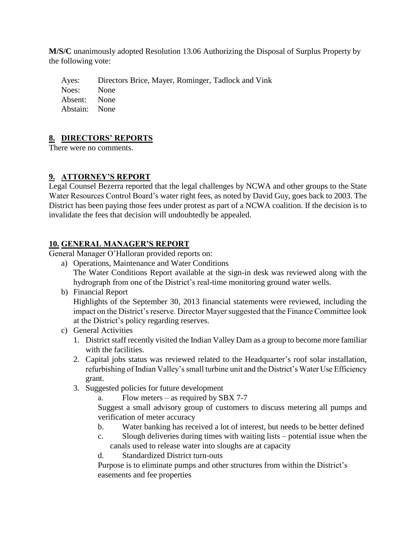**M/S/C** unanimously adopted Resolution 13.06 Authorizing the Disposal of Surplus Property by the following vote:

Ayes: Directors Brice, Mayer, Rominger, Tadlock and Vink Noes: None Absent: None Abstain: None

# **8. DIRECTORS' REPORTS**

There were no comments.

# **9. ATTORNEY'S REPORT**

Legal Counsel Bezerra reported that the legal challenges by NCWA and other groups to the State Water Resources Control Board's water right fees, as noted by David Guy, goes back to 2003. The District has been paying those fees under protest as part of a NCWA coalition. If the decision is to invalidate the fees that decision will undoubtedly be appealed.

# **10. GENERAL MANAGER'S REPORT**

General Manager O'Halloran provided reports on:

- a) Operations, Maintenance and Water Conditions The Water Conditions Report available at the sign-in desk was reviewed along with the hydrograph from one of the District's real-time monitoring ground water wells.
- b) Financial Report

Highlights of the September 30, 2013 financial statements were reviewed, including the impact on the District's reserve. Director Mayer suggested that the Finance Committee look at the District's policy regarding reserves.

- c) General Activities
	- 1. District staff recently visited the Indian Valley Dam as a group to become more familiar with the facilities.
	- 2. Capital jobs status was reviewed related to the Headquarter's roof solar installation, refurbishing of Indian Valley's small turbine unit and the District's Water Use Efficiency grant.
	- 3. Suggested policies for future development
		- a. Flow meters as required by SBX 7-7

Suggest a small advisory group of customers to discuss metering all pumps and verification of meter accuracy

- b. Water banking has received a lot of interest, but needs to be better defined
- c. Slough deliveries during times with waiting lists potential issue when the canals used to release water into sloughs are at capacity
- d. Standardized District turn-outs

Purpose is to eliminate pumps and other structures from within the District's easements and fee properties